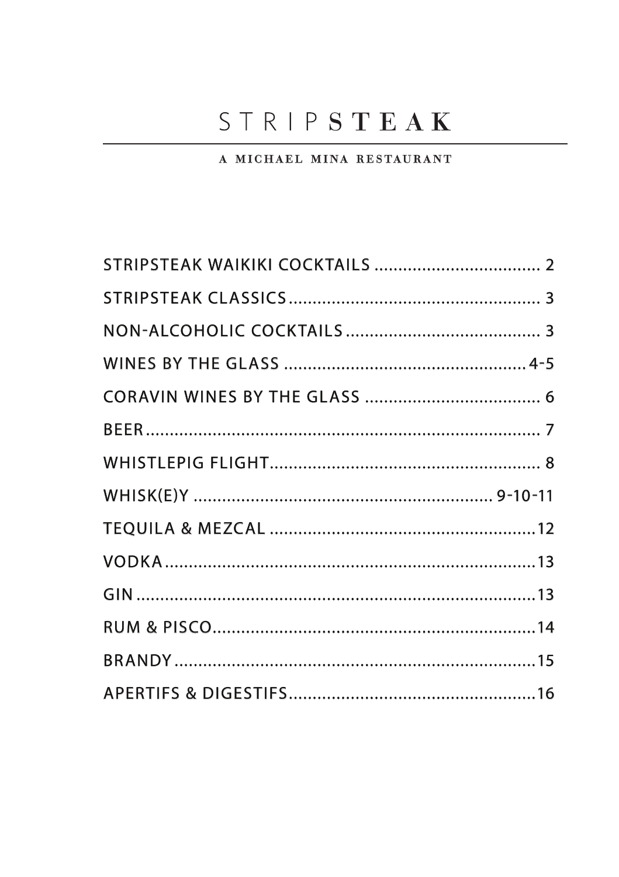# STRIPSTEAK

### A MICHAEL MINA RESTAURANT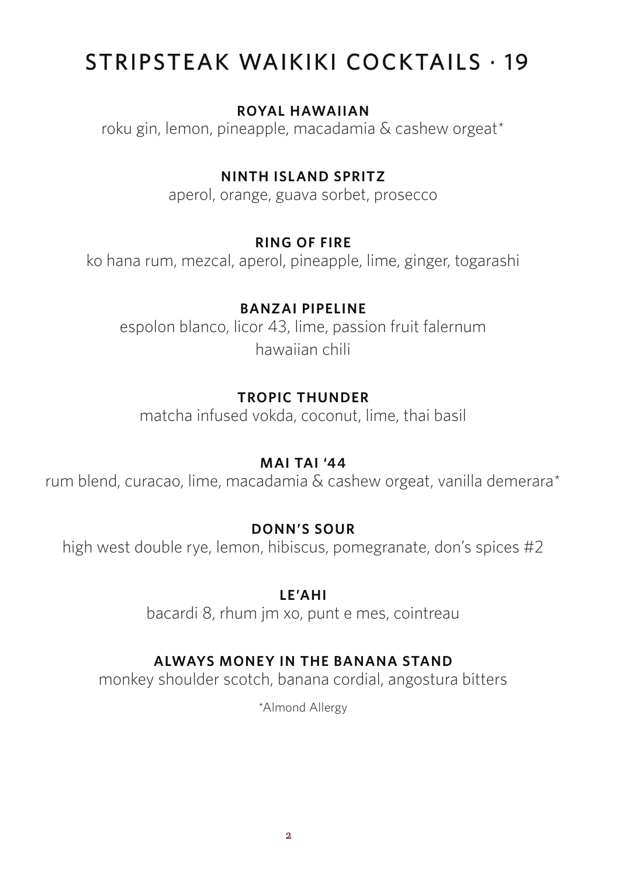# STRIPSTEAK WAIKIKI COCKTAILS . 19

### **ROYAL HAWAIIAN**

roku gin, lemon, pineapple, macadamia & cashew orgeat\*

### **NINTH ISLAND SPRITZ**

aperol, orange, guava sorbet, prosecco

### **RING OF FIRE**

ko hana rum, mezcal, aperol, pineapple, lime, ginger, togarashi

### **BANZAI PIPELINE**

espolon blanco, licor 43, lime, passion fruit falernum hawaiian chili

# **TROPIC THUNDER**

matcha infused vokda, coconut, lime, thai basil

### **MAI TAI '44**

rum blend, curacao, lime, macadamia & cashew orgeat, vanilla demerara\*

# **DONN'S SOUR**

high west double rye, lemon, hibiscus, pomegranate, don's spices #2

### **LE'AHI**

bacardi 8, rhum jm xo, punt e mes, cointreau

# **ALWAYS MONEY IN THE BANANA STAND**

monkey shoulder scotch, banana cordial, angostura bitters

\*Almond Allergy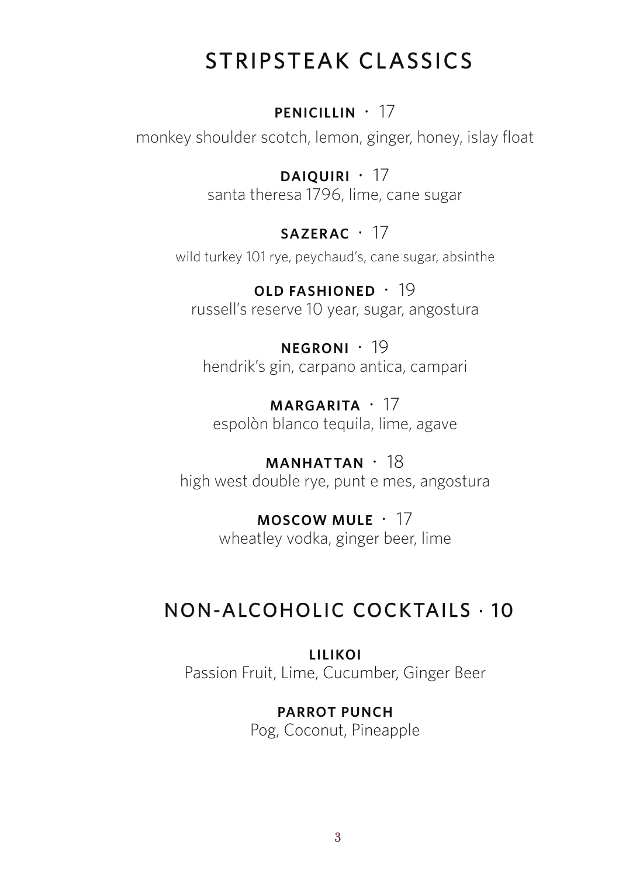# STRIPSTEAK CLASSICS

# **PENICILLIN** · 17

monkey shoulder scotch, lemon, ginger, honey, islay float

**DAIQUIRI** · 17 santa theresa 1796, lime, cane sugar

# **SAZERAC** · 17

wild turkey 101 rye, peychaud's, cane sugar, absinthe

**OLD FASHIONED** · 19 russell's reserve 10 year, sugar, angostura

**NEGRONI** · 19 hendrik's gin, carpano antica, campari

**MARGARITA** · 17 espolòn blanco tequila, lime, agave

**MANHATTAN** · 18 high west double rye, punt e mes, angostura

> **MOSCOW MULE** · 17 wheatley vodka, ginger beer, lime

# NON-ALCOHOLIC COCKTAILS . 10

**LILIKOI** Passion Fruit, Lime, Cucumber, Ginger Beer

# **PARROT PUNCH**

Pog, Coconut, Pineapple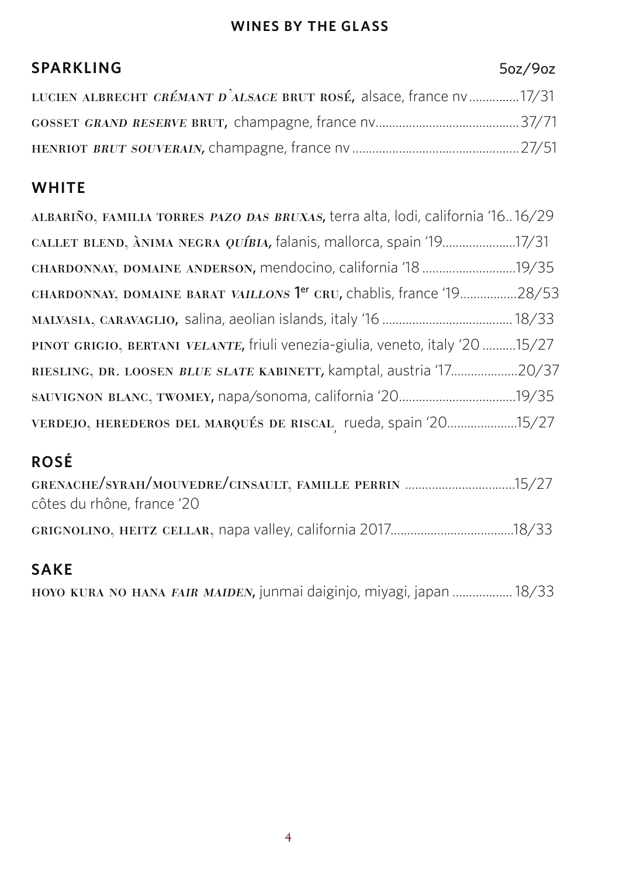### **WINES BY THE GLASS**

# **SPARKLING** LUCIEN ALBRECHT CRÉMANT D'ALSACE BRUT ROSÉ, alsace, france nv...............17/31 gosset grand reserve brut, champagne, france nv...........................................37/71 henriot brut souverain, champagne, france nv...................................................27/51 5oz/9oz

### **WHITE**

| ALBARIÑO, FAMILIA TORRES PAZO DAS BRUXAS, terra alta, lodi, california '1616/29 |  |
|---------------------------------------------------------------------------------|--|
| CALLET BLEND, ANIMA NEGRA QUÍBIA, falanis, mallorca, spain '1917/31             |  |
|                                                                                 |  |
| CHARDONNAY, DOMAINE BARAT VAILLONS <sup>1er</sup> CRU, chablis, france '1928/53 |  |
|                                                                                 |  |
| PINOT GRIGIO, BERTANI VELANTE, friuli venezia-giulia, veneto, italy '20 15/27   |  |
| RIESLING, DR. LOOSEN BLUE SLATE KABINETT, kamptal, austria '1720/37             |  |
|                                                                                 |  |
| VERDEJO, HEREDEROS DEL MARQUÉS DE RISCAL rueda, spain '2015/27                  |  |

# **ROSÉ**

| GRENACHE/SYRAH/MOUVEDRE/CINSAULT, FAMILLE PERRIN 15/27 |  |
|--------------------------------------------------------|--|
| côtes du rhône, france '20                             |  |
|                                                        |  |
| <b>SAKF</b>                                            |  |

### **SAKE**

hoyo kura no hana fair maiden, junmai daiginjo, miyagi, japan...................18/33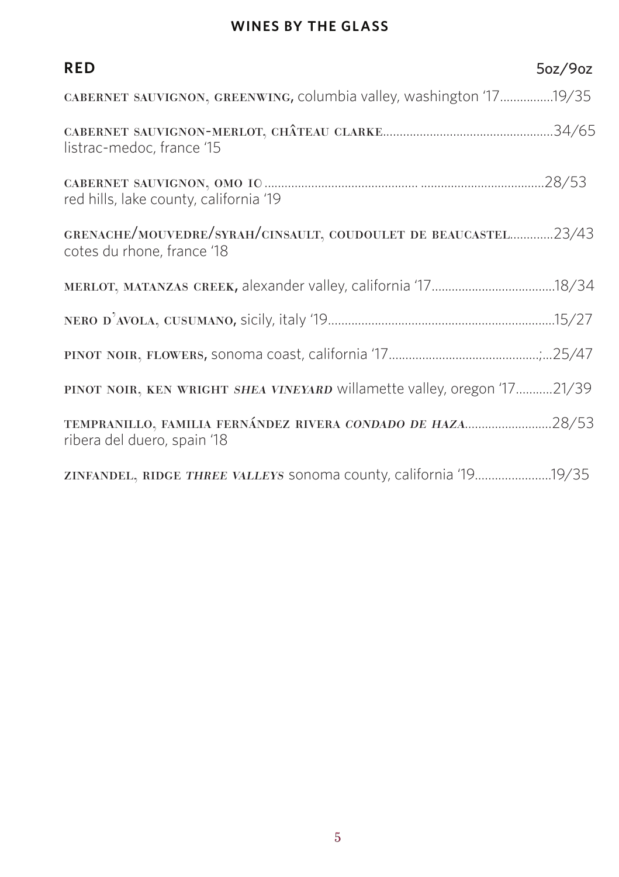### **WINES BY THE GLASS**

| <b>RED</b>                                                                                   | 5oz/9oz |
|----------------------------------------------------------------------------------------------|---------|
| CABERNET SAUVIGNON, GREENWING, columbia valley, washington '1719/35                          |         |
| listrac-medoc, france '15                                                                    |         |
| red hills, lake county, california '19                                                       |         |
| GRENACHE/MOUVEDRE/SYRAH/CINSAULT, COUDOULET DE BEAUCASTEL23/43<br>cotes du rhone, france '18 |         |
|                                                                                              |         |
|                                                                                              |         |
|                                                                                              |         |
| PINOT NOIR, KEN WRIGHT SHEA VINEYARD willamette valley, oregon '1721/39                      |         |
| TEMPRANILLO, FAMILIA FERNÁNDEZ RIVERA CONDADO DE HAZA28/53<br>ribera del duero, spain '18    |         |
| zINFANDEL, RIDGE THREE VALLEYS sonoma county, california '1919/35                            |         |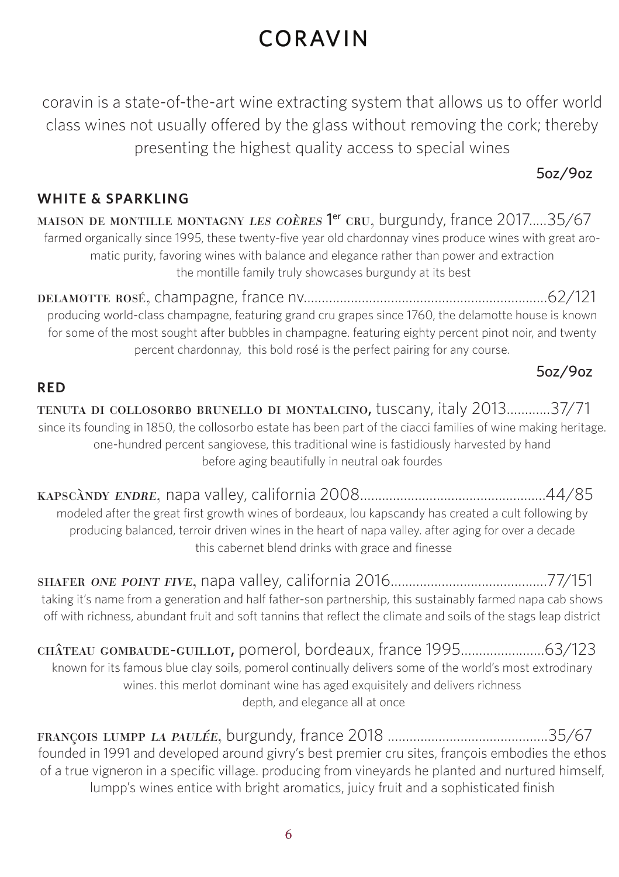# CORAVIN

coravin is a state-of-the-art wine extracting system that allows us to offer world class wines not usually offered by the glass without removing the cork; thereby presenting the highest quality access to special wines

### 5oz/9oz

### **WHITE & SPARKLING**

maison de montille montagny *les coères* 1<sup>er</sup> cru, burgundy, france 2017.....35/67 farmed organically since 1995, these twenty-five year old chardonnay vines produce wines with great aromatic purity, favoring wines with balance and elegance rather than power and extraction the montille family truly showcases burgundy at its best

delamotte rosÉ, champagne, france nv...................................................................62/121 producing world-class champagne, featuring grand cru grapes since 1760, the delamotte house is known for some of the most sought after bubbles in champagne. featuring eighty percent pinot noir, and twenty percent chardonnay, this bold rosé is the perfect pairing for any course.

### 5oz/9oz

### **RED**

tenuta di collosorbo brunello di montalcino, tuscany, italy 2013............37/71 since its founding in 1850, the collosorbo estate has been part of the ciacci families of wine making heritage. one-hundred percent sangiovese, this traditional wine is fastidiously harvested by hand before aging beautifully in neutral oak fourdes

kapscàndy endre, napa valley, california 2008...................................................44/85 modeled after the great first growth wines of bordeaux, lou kapscandy has created a cult following by producing balanced, terroir driven wines in the heart of napa valley. after aging for over a decade this cabernet blend drinks with grace and finesse

shafer one point five, napa valley, california 2016...........................................77/151 taking it's name from a generation and half father-son partnership, this sustainably farmed napa cab shows off with richness, abundant fruit and soft tannins that reflect the climate and soils of the stags leap district

château gombaude-guillot, pomerol, bordeaux, france 1995.......................63/123 known for its famous blue clay soils, pomerol continually delivers some of the world's most extrodinary wines. this merlot dominant wine has aged exquisitely and delivers richness depth, and elegance all at once

françois lumpp la paulée, burgundy, france 2018 ............................................35/67 founded in 1991 and developed around givry's best premier cru sites, françois embodies the ethos of a true vigneron in a specific village. producing from vineyards he planted and nurtured himself, lumpp's wines entice with bright aromatics, juicy fruit and a sophisticated finish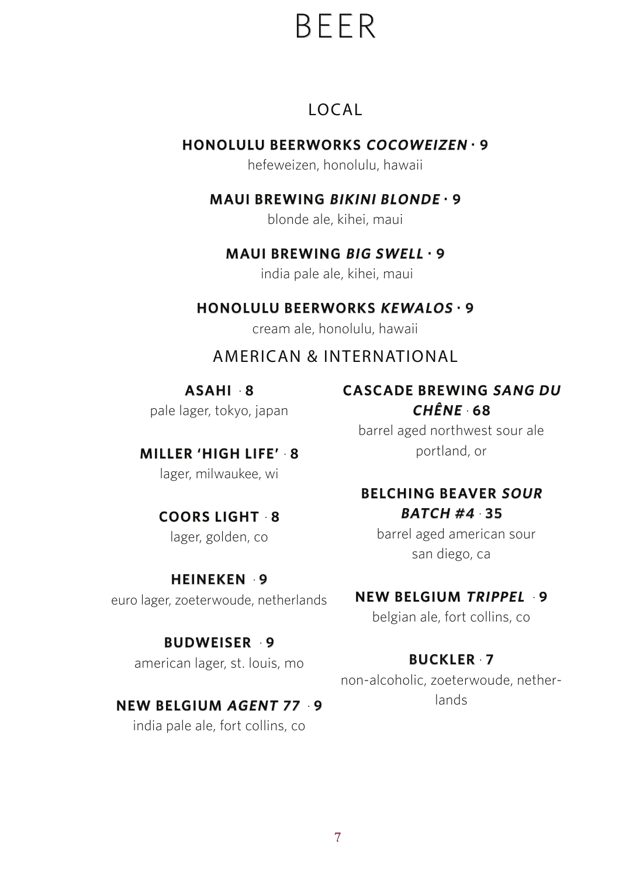# BEER

# LOCAL

# **HONOLULU BEERWORKS COCOWEIZEN . 9**

hefeweizen, honolulu, hawaii

# **MAUI BREWING BIKINI BLONDE . 9**

blonde ale, kihei, maui

# **MAUI BREWING BIG SWELL . 9**

india pale ale, kihei, maui

# **HONOLULU BEERWORKS KEWALOS . 9**

cream ale, honolulu, hawaii

# AMERICAN & INTERNATIONAL

**ASAHI** · **8**  pale lager, tokyo, japan

# **MILLER 'HIGH LIFE'** · **8**

lager, milwaukee, wi

### **COORS LIGHT** · **8** lager, golden, co

### **HEINEKEN** · **9**

euro lager, zoeterwoude, netherlands

# **BUDWEISER** · **9**

american lager, st. louis, mo

# **NEW BELGIUM AGENT 77** · **9**

india pale ale, fort collins, co

### **CASCADE BREWING SANG DU CHÊNE** · **68**

barrel aged northwest sour ale portland, or

### **BELCHING BEAVER SOUR BATCH #4** · **35**

 barrel aged american sour san diego, ca

# **NEW BELGIUM TRIPPEL** · **9**

belgian ale, fort collins, co

# **BUCKLER** · **7**

non-alcoholic, zoeterwoude, netherlands

7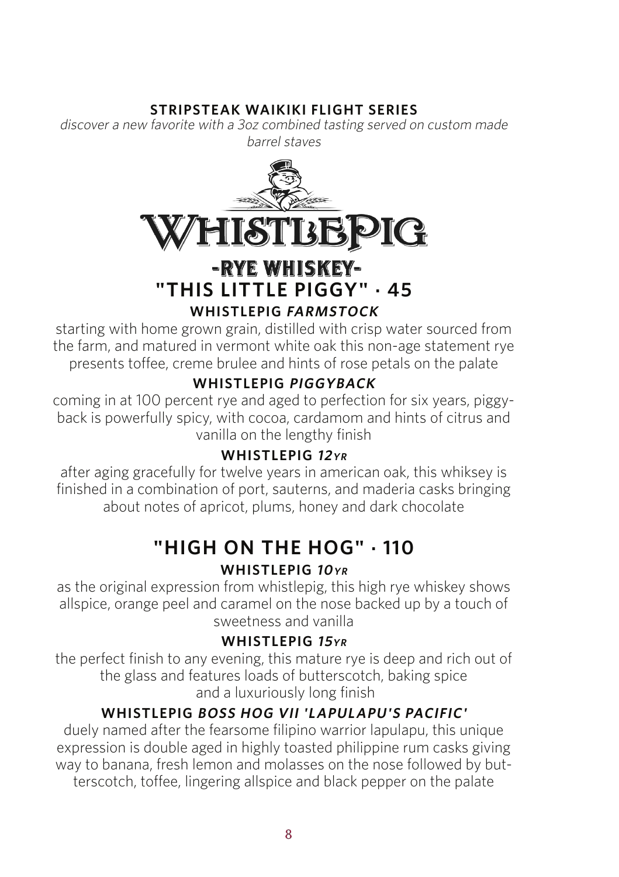### **STRIPSTEAK WAIKIKI FLIGHT SERIES**

discover a new favorite with a 3oz combined tasting served on custom made barrel staves



# **-RYE WHISKEY-<br>THIS LITTLE PIGGY" · 45 WHISTLEPIG FARMSTOCK**

starting with home grown grain, distilled with crisp water sourced from the farm, and matured in vermont white oak this non-age statement rye presents toffee, creme brulee and hints of rose petals on the palate

# **WHISTLEPIG PIGGYBACK**

coming in at 100 percent rye and aged to perfection for six years, piggyback is powerfully spicy, with cocoa, cardamom and hints of citrus and vanilla on the lengthy finish

### **WHISTLEPIG <sup>12</sup>YR**

after aging gracefully for twelve years in american oak, this whiksey is finished in a combination of port, sauterns, and maderia casks bringing about notes of apricot, plums, honey and dark chocolate

# **"HIGH ON THE HOG" . 110**

# **WHISTLEPIG 10YR**

as the original expression from whistlepig, this high rye whiskey shows allspice, orange peel and caramel on the nose backed up by a touch of sweetness and vanilla

### **WHISTLEPIG <sup>15</sup>YR**

the perfect finish to any evening, this mature rye is deep and rich out of the glass and features loads of butterscotch, baking spice and a luxuriously long finish

# **WHISTLEPIG BOSS HOG VII 'LAPULAPU'S PACIFIC'**

duely named after the fearsome filipino warrior lapulapu, this unique expression is double aged in highly toasted philippine rum casks giving way to banana, fresh lemon and molasses on the nose followed by butterscotch, toffee, lingering allspice and black pepper on the palate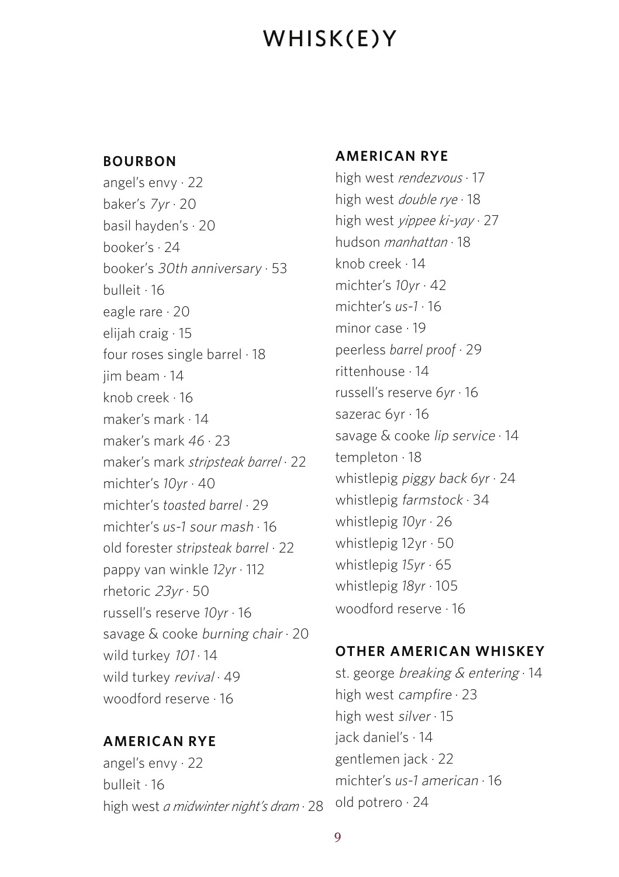# WHISK(E)Y

### **BOURBON**

angel's envy · 22 baker's 7yr · 20 basil hayden's · 20 booker's · 24 booker's 30th anniversary · 53 bulleit · 16 eagle rare · 20 elijah craig · 15 four roses single barrel · 18 jim beam · 14 knob creek · 16 maker's mark · 14 maker's mark *46* · 23 maker's mark *stripsteak barrel* · 22 michter's *10yr* · 40 michter's *toasted barrel* · 29 michter's *us-1* sour mash · 16 old forester *stripsteak barrel* · 22 pappy van winkle *12yr* · 112 rhetoric 23yr · 50 russell's reserve *10yr* · 16 savage & cooke burning chair · 20 wild turkey  $101 \cdot 14$ wild turkey revival · 49 woodford reserve · 16

### **AMERICAN RYE**

angel's envy · 22 bulleit · 16 high west *a midwinter night's dram* · 28

#### **AMERICAN RYE**

high west *rendezvous* · 17 high west *double rye* · 18 high west *yippee ki-yay* · 27 hudson *manhattan* · 18 knob creek · 14 michter's *10yr* · 42 michter's *us-1* · 16 minor case · 19 peerless *barrel proof* · 29 rittenhouse · 14 russell's reserve *6yr* · 16 sazerac 6yr · 16 savage & cooke lip service · 14 templeton · 18 whistlepig piggy back *6yr* · 24 whistlepig farmstock · 34 whistlepig *10yr* · 26 whistlepig 12yr · 50 whistlepig *15yr* · 65 whistlepig *18yr* · 105 woodford reserve · 16

### **OTHER AMERICAN WHISKEY**

st. george breaking & entering · 14 high west campfire · 23 high west silver · 15 jack daniel's · 14 gentlemen jack · 22 michter's *us-1* american · 16 old potrero · 24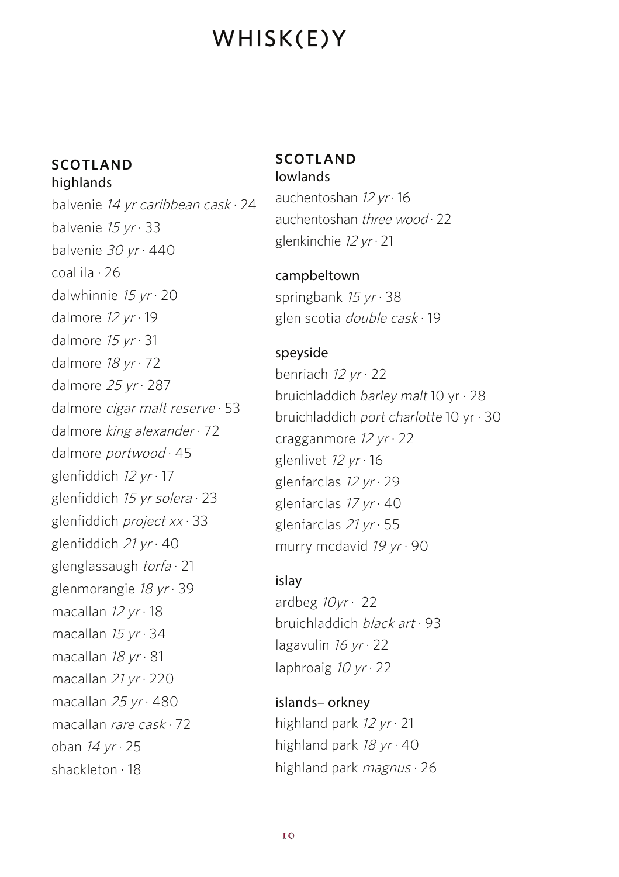# WHISK(E)Y

#### **SCOTLAND** highlands

balvenie 14 yr caribbean cask · 24 balvenie  $15 yr \cdot 33$ balvenie 30 yr · 440 coal ila · 26 dalwhinnie  $15 yr \cdot 20$ dalmore  $12 yr \cdot 19$ dalmore  $15 yr \cdot 31$ dalmore 18 yr · 72 dalmore  $25 yr \cdot 287$ dalmore cigar malt reserve · 53 dalmore king alexander · 72 dalmore portwood · 45 glenfiddich 12 yr · 17 glenfiddich 15 yr solera · 23 glenfiddich project xx · 33 glenfiddich 21 yr · 40 glenglassaugh torfa · 21 glenmorangie 18 yr · 39 macallan  $12 yr \cdot 18$ macallan  $15 yr \cdot 34$ macallan  $18 yr \cdot 81$ macallan 21 yr · 220 macallan  $25 yr \cdot 480$ macallan rare cask · 72 oban  $14 yr \cdot 25$ shackleton · 18

#### **SCOTLAND** lowlands

auchentoshan  $12 yr \cdot 16$ auchentoshan three wood · 22 glenkinchie 12 yr · 21

### campbeltown springbank 15 yr · 38 glen scotia double cask · 19

### speyside

benriach  $12 yr \cdot 22$ bruichladdich barley malt 10 yr  $\cdot$  28 bruichladdich port charlotte 10 yr · 30 cragganmore  $12 yr \cdot 22$ glenlivet 12 yr · 16 glenfarclas 12 yr · 29 glenfarclas  $17 yr \cdot 40$ glenfarclas 21 yr · 55 murry mcdavid  $19 yr \cdot 90$ 

### islay

ardbeg  $10yr \cdot 22$ bruichladdich black art · 93 lagavulin  $16 yr \cdot 22$ laphroaig  $10 yr \cdot 22$ 

islands– orkney highland park 12 yr · 21 highland park  $18 yr \cdot 40$ highland park *magnus* · 26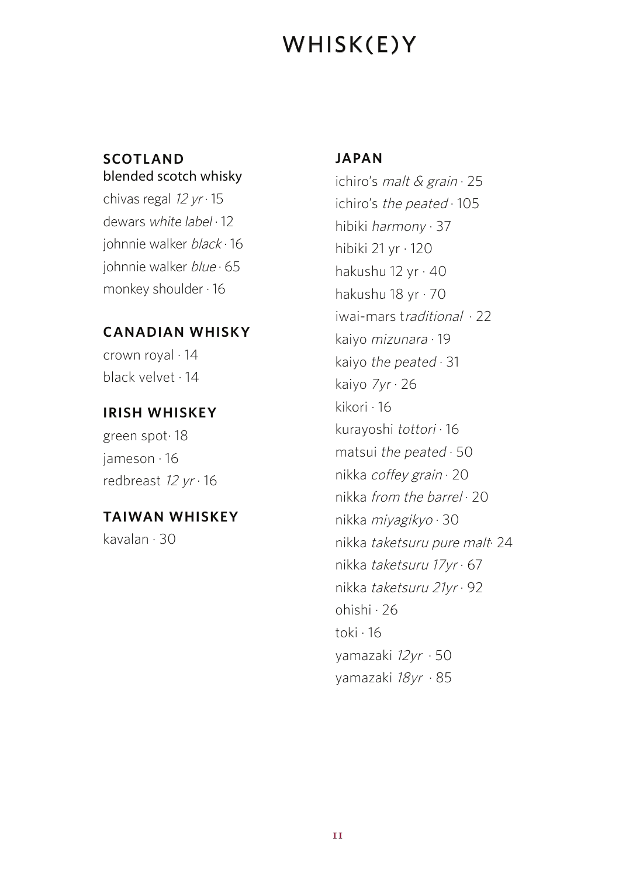# WHISK(E)Y

### **SCOTLAND** blended scotch whisky

chivas regal  $12 yr \cdot 15$ dewars white label · 12 johnnie walker black · 16 johnnie walker blue 65 monkey shoulder · 16

### **CANADIAN WHISKY**

crown royal · 14 black velvet · 14

### **IRISH WHISKEY**

green spot· 18 jameson · 16 redbreast  $12 yr \cdot 16$ 

### **TAIWAN WHISKEY**

kavalan · 30

### **JAPAN**

ichiro's *malt & grain*  $\cdot$  25 ichiro's the peated  $\cdot$  105 hibiki harmony · 37 hibiki 21 yr · 120 hakushu 12 yr · 40 hakushu 18 yr · 70 iwai-mars traditional · 22 kaiyo mizunara · 19 kaiyo the peated  $\cdot$  31 kaiyo 7yr · 26 kikori · 16 kurayoshi tottori · 16 matsui the peated  $\cdot$  50 nikka coffey grain · 20 nikka from the barrel · 20 nikka miyagikyo · 30 nikka taketsuru pure malt· 24 nikka taketsuru 17yr · 67 nikka taketsuru 21yr · 92 ohishi · 26 toki · 16 yamazaki 12yr · 50 yamazaki 18yr · 85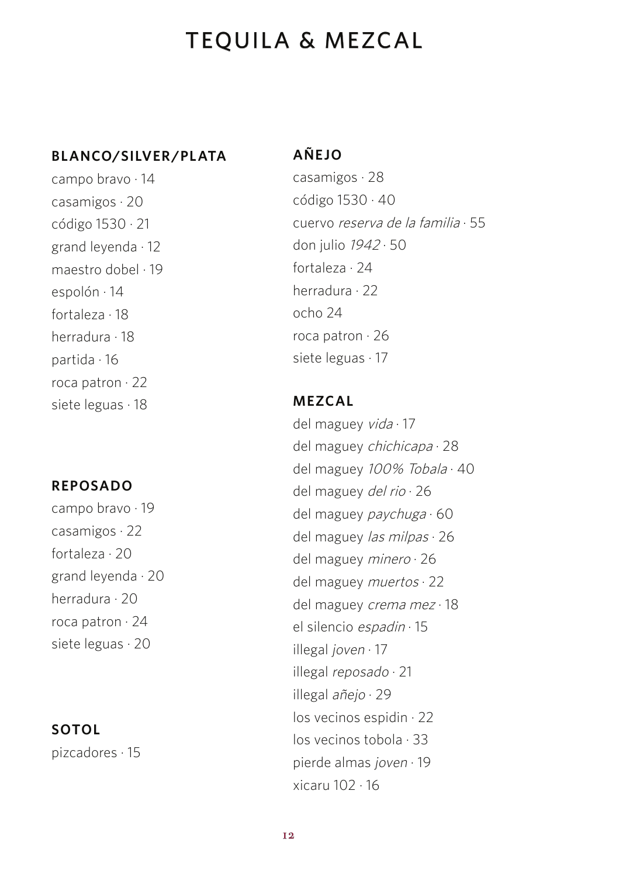# TEQUILA & MEZCAL

#### **BLANCO/SILVER /PLATA**

campo bravo · 14 casamigos · 20 código 1530 · 21 grand leyenda · 12 maestro dobel · 19 espolón · 14 fortaleza · 18 herradura · 18 partida · 16 roca patron · 22 siete leguas · 18

### **REPOSADO**

campo bravo · 19 casamigos · 22 fortaleza · 20 grand leyenda · 20 herradura · 20 roca patron · 24 siete leguas · 20

### **SOTOL**

pizcadores · 15

### **AÑEJO**

casamigos · 28 código 1530 · 40 cuervo reserva de la familia · 55 don julio 1942 · 50 fortaleza · 24 herradura · 22 ocho 24 roca patron · 26 siete leguas · 17

### **MEZCAL**

del maguey vida · 17 del maguey chichicapa · 28 del maguey 100% Tobala · 40 del maguey del rio · 26 del maguey paychuga · 60 del maguey las milpas · 26 del maguey minero · 26 del maguey muertos · 22 del maguey crema mez · 18 el silencio espadin · 15 illegal joven · 17 illegal reposado · 21 illegal añejo · 29 los vecinos espidin · 22 los vecinos tobola · 33 pierde almas joven · 19 xicaru 102 · 16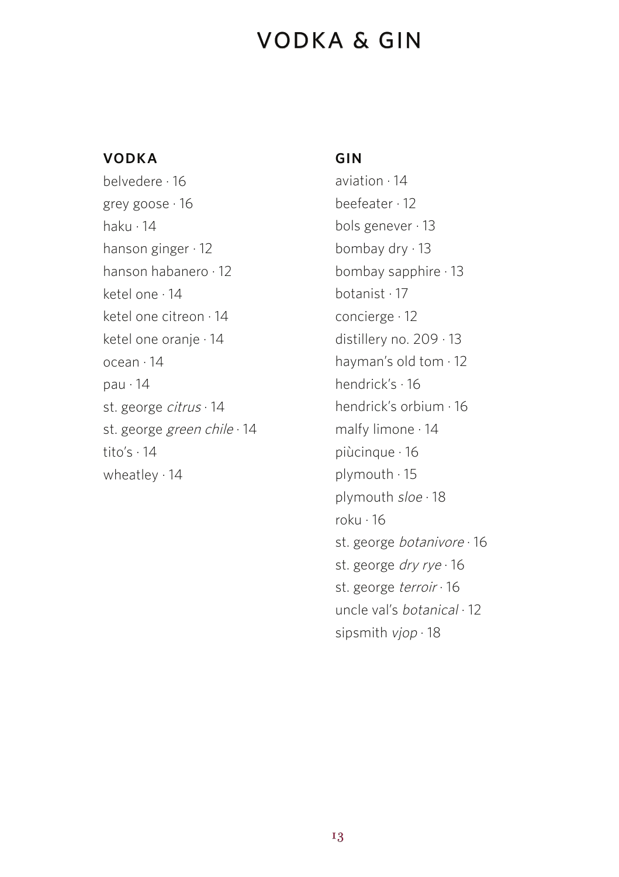# VODKA & GIN

#### **VODKA**

belvedere · 16 grey goose · 16 haku · 14 hanson ginger · 12 hanson habanero · 12 ketel one · 14 ketel one citreon · 14 ketel one oranie · 14 ocean · 14 pau · 14 st. george citrus · 14 st. george green chile · 14 tito's · 14 wheatley · 14

#### **GIN**

aviation · 14 beefeater · 12 bols genever · 13 bombay dry · 13 bombay sapphire · 13 botanist · 17 concierge · 12 distillery no. 209 · 13 hayman's old tom · 12 hendrick's · 16 hendrick's orbium · 16 malfy limone · 14 piùcinque · 16 plymouth · 15 plymouth sloe · 18 roku · 16 st. george botanivore · 16 st. george dry rye · 16 st. george terroir · 16 uncle val's botanical · 12 sipsmith vjop · 18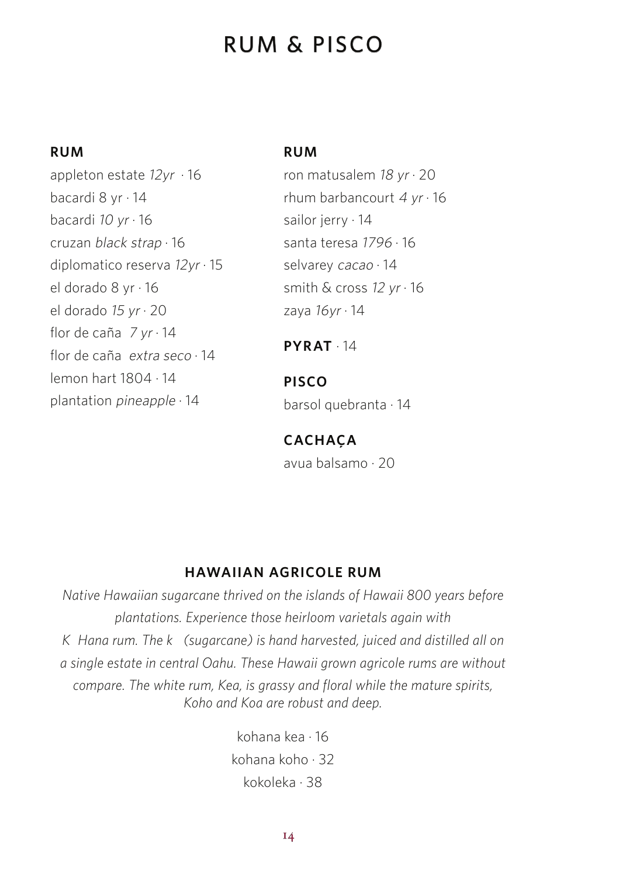# RUM & PISCO

#### **RUM**

appleton estate  $12yr \cdot 16$ bacardi 8 yr · 14 bacardi 10 yr · 16 cruzan black strap · 16 diplomatico reserva 12yr · 15 el dorado 8 yr · 16 el dorado 15 yr · 20 flor de caña  $7 yr \cdot 14$ flor de caña extra seco · 14 lemon hart 1804 · 14 plantation pineapple · 14

#### **RUM**

ron matusalem  $18 yr \cdot 20$ rhum barbancourt  $4 yr \cdot 16$ sailor jerry · 14 santa teresa 1796 · 16 selvarey cacao · 14 smith & cross 12 yr · 16 zaya  $16yr \cdot 14$ 

### **PYRAT** · 14

**PISCO** barsol quebranta · 14

### **CACHAÇA**

avua balsamo · 20

### **HAWAIIAN AGRICOLE RUM**

*Native Hawaiian sugarcane thrived on the islands of Hawaii 800 years before plantations. Experience those heirloom varietals again with K* Hana rum. The k (sugarcane) is hand harvested, juiced and distilled all on *a single estate in central Oahu. These Hawaii grown agricole rums are without compare. The white rum, Kea, is grassy and floral while the mature spirits, Koho and Koa are robust and deep.*

> kohana kea · 16 kohana koho · 32 kokoleka · 38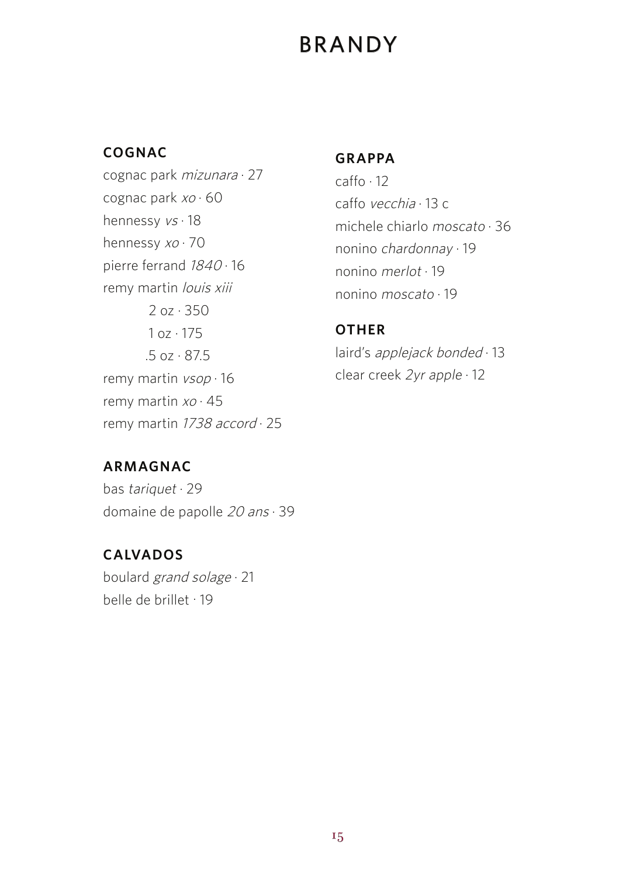# BRANDY

### **COGNAC**

cognac park mizunara · 27 cognac park  $xo \cdot 60$ hennessy vs · 18 hennessy xo · 70 pierre ferrand 1840 · 16 remy martin louis xiii 2 oz · 350  $1 oz \cdot 175$  .5 oz · 87.5 remy martin vsop · 16 remy martin  $xo \cdot 45$ remy martin 1738 accord · 25

### **GRAPPA**

caffo · 12 caffo vecchia · 13 c michele chiarlo moscato · 36 nonino chardonnay · 19 nonino merlot · 19 nonino moscato · 19

### **OTHER**

laird's applejack bonded · 13 clear creek 2yr apple · 12

### **ARMAGNAC**

bas tariquet · 29 domaine de papolle 20 ans · 39

### **CALVADOS**

boulard grand solage · 21 belle de brillet . 19